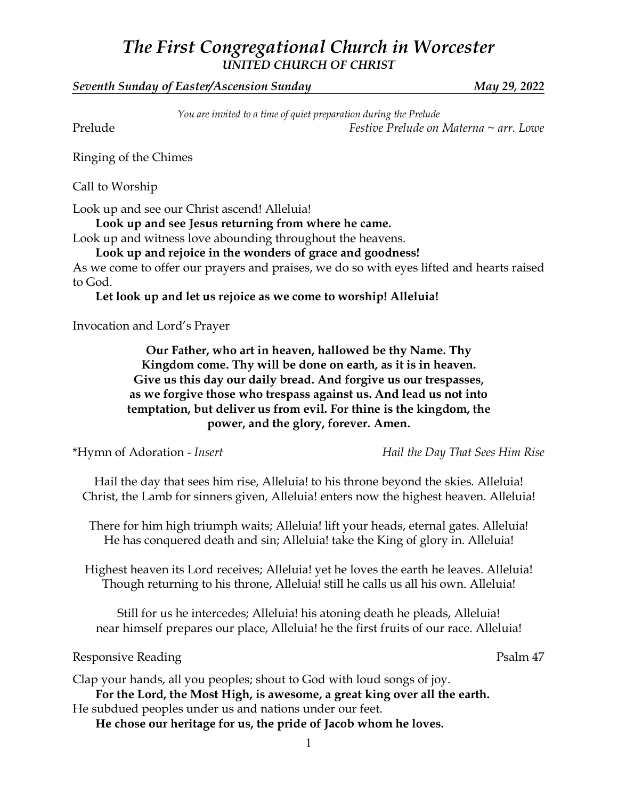## *The First Congregational Church in Worcester UNITED CHURCH OF CHRIST*

*Seventh Sunday of Easter/Ascension Sunday May 29, 2022*

*You are invited to a time of quiet preparation during the Prelude* Prelude *Festive Prelude on Materna ~ arr. Lowe*

Ringing of the Chimes

Call to Worship

Look up and see our Christ ascend! Alleluia!

**Look up and see Jesus returning from where he came.**

Look up and witness love abounding throughout the heavens.

**Look up and rejoice in the wonders of grace and goodness!** As we come to offer our prayers and praises, we do so with eyes lifted and hearts raised

to God.

**Let look up and let us rejoice as we come to worship! Alleluia!**

Invocation and Lord's Prayer

**Our Father, who art in heaven, hallowed be thy Name. Thy Kingdom come. Thy will be done on earth, as it is in heaven. Give us this day our daily bread. And forgive us our trespasses, as we forgive those who trespass against us. And lead us not into temptation, but deliver us from evil. For thine is the kingdom, the power, and the glory, forever. Amen.**

\*Hymn of Adoration - *Insert Hail the Day That Sees Him Rise*

Hail the day that sees him rise, Alleluia! to his throne beyond the skies. Alleluia! Christ, the Lamb for sinners given, Alleluia! enters now the highest heaven. Alleluia!

There for him high triumph waits; Alleluia! lift your heads, eternal gates. Alleluia! He has conquered death and sin; Alleluia! take the King of glory in. Alleluia!

Highest heaven its Lord receives; Alleluia! yet he loves the earth he leaves. Alleluia! Though returning to his throne, Alleluia! still he calls us all his own. Alleluia!

Still for us he intercedes; Alleluia! his atoning death he pleads, Alleluia! near himself prepares our place, Alleluia! he the first fruits of our race. Alleluia!

Responsive Reading Psalm 47

Clap your hands, all you peoples; shout to God with loud songs of joy.

**For the Lord, the Most High, is awesome, a great king over all the earth.** He subdued peoples under us and nations under our feet.

**He chose our heritage for us, the pride of Jacob whom he loves.**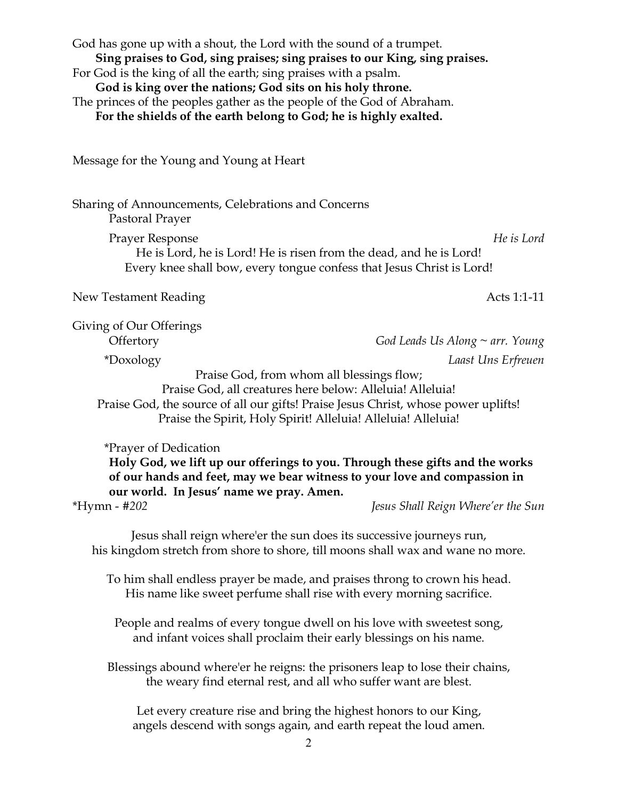| God has gone up with a shout, the Lord with the sound of a trumpet.<br>Sing praises to God, sing praises; sing praises to our King, sing praises.<br>For God is the king of all the earth; sing praises with a psalm.<br>God is king over the nations; God sits on his holy throne.<br>The princes of the peoples gather as the people of the God of Abraham.<br>For the shields of the earth belong to God; he is highly exalted. |                                                                                                                                                           |
|------------------------------------------------------------------------------------------------------------------------------------------------------------------------------------------------------------------------------------------------------------------------------------------------------------------------------------------------------------------------------------------------------------------------------------|-----------------------------------------------------------------------------------------------------------------------------------------------------------|
| Message for the Young and Young at Heart                                                                                                                                                                                                                                                                                                                                                                                           |                                                                                                                                                           |
| Sharing of Announcements, Celebrations and Concerns<br>Pastoral Prayer                                                                                                                                                                                                                                                                                                                                                             |                                                                                                                                                           |
| <b>Prayer Response</b><br>He is Lord, he is Lord! He is risen from the dead, and he is Lord!<br>Every knee shall bow, every tongue confess that Jesus Christ is Lord!                                                                                                                                                                                                                                                              | He is Lord                                                                                                                                                |
| New Testament Reading                                                                                                                                                                                                                                                                                                                                                                                                              | Acts 1:1-11                                                                                                                                               |
| Giving of Our Offerings<br>Offertory                                                                                                                                                                                                                                                                                                                                                                                               | God Leads Us Along $\sim$ arr. Young                                                                                                                      |
| *Doxology                                                                                                                                                                                                                                                                                                                                                                                                                          | Laast Uns Erfreuen                                                                                                                                        |
| Praise God, from whom all blessings flow;<br>Praise God, all creatures here below: Alleluia! Alleluia!<br>Praise God, the source of all our gifts! Praise Jesus Christ, whose power uplifts!<br>Praise the Spirit, Holy Spirit! Alleluia! Alleluia! Alleluia!                                                                                                                                                                      |                                                                                                                                                           |
| <i>*Prayer of Dedication</i><br>our world. In Jesus' name we pray. Amen.                                                                                                                                                                                                                                                                                                                                                           | Holy God, we lift up our offerings to you. Through these gifts and the works<br>of our hands and feet, may we bear witness to your love and compassion in |
| *Hymn - #202                                                                                                                                                                                                                                                                                                                                                                                                                       | Jesus Shall Reign Where'er the Sun                                                                                                                        |
| Jesus shall reign where'er the sun does its successive journeys run,<br>his kingdom stretch from shore to shore, till moons shall wax and wane no more.                                                                                                                                                                                                                                                                            |                                                                                                                                                           |
| To him shall endless prayer be made, and praises throng to crown his head.<br>His name like sweet perfume shall rise with every morning sacrifice.                                                                                                                                                                                                                                                                                 |                                                                                                                                                           |
| People and realms of every tongue dwell on his love with sweetest song,<br>and infant voices shall proclaim their early blessings on his name.                                                                                                                                                                                                                                                                                     |                                                                                                                                                           |
| Blessings abound where'er he reigns: the prisoners leap to lose their chains,<br>the weary find eternal rest, and all who suffer want are blest.                                                                                                                                                                                                                                                                                   |                                                                                                                                                           |

Let every creature rise and bring the highest honors to our King, angels descend with songs again, and earth repeat the loud amen.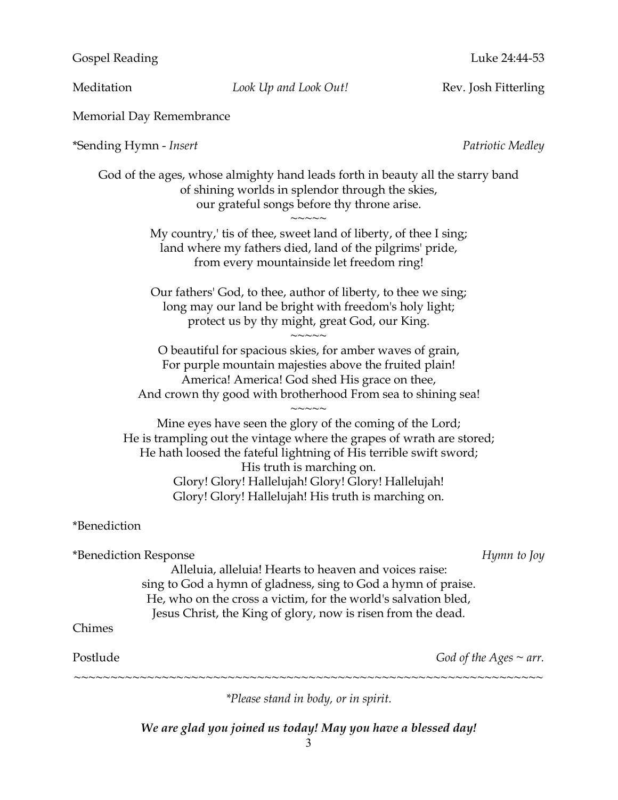Gospel Reading **Luke 24:44-53** 

Meditation *Look Up and Look Out!* Rev. Josh Fitterling

Memorial Day Remembrance

\*Sending Hymn - *Insert Patriotic Medley*

God of the ages, whose almighty hand leads forth in beauty all the starry band of shining worlds in splendor through the skies, our grateful songs before thy throne arise.  $\sim$  $\sim$  $\sim$  $\sim$ 

My country,' tis of thee, sweet land of liberty, of thee I sing; land where my fathers died, land of the pilgrims' pride, from every mountainside let freedom ring!

Our fathers' God, to thee, author of liberty, to thee we sing; long may our land be bright with freedom's holy light; protect us by thy might, great God, our King.

 $\sim$  $\sim$  $\sim$  $\sim$ 

O beautiful for spacious skies, for amber waves of grain, For purple mountain majesties above the fruited plain! America! America! God shed His grace on thee, And crown thy good with brotherhood From sea to shining sea!

 $\sim$  $\sim$  $\sim$  $\sim$ Mine eyes have seen the glory of the coming of the Lord; He is trampling out the vintage where the grapes of wrath are stored; He hath loosed the fateful lightning of His terrible swift sword; His truth is marching on. Glory! Glory! Hallelujah! Glory! Glory! Hallelujah! Glory! Glory! Hallelujah! His truth is marching on.

\*Benediction

\*Benediction Response *Hymn to Joy* Alleluia, alleluia! Hearts to heaven and voices raise: sing to God a hymn of gladness, sing to God a hymn of praise. He, who on the cross a victim, for the world's salvation bled, Jesus Christ, the King of glory, now is risen from the dead. Chimes Postlude *God of the Ages ~ arr.* ~~~~~~~~~~~~~~~~~~~~~~~~~~~~~~~~~~~~~~~~~~~~~~~~~~~~~~~~~~~~~~~~

*\*Please stand in body, or in spirit.*

*We are glad you joined us today! May you have a blessed day!*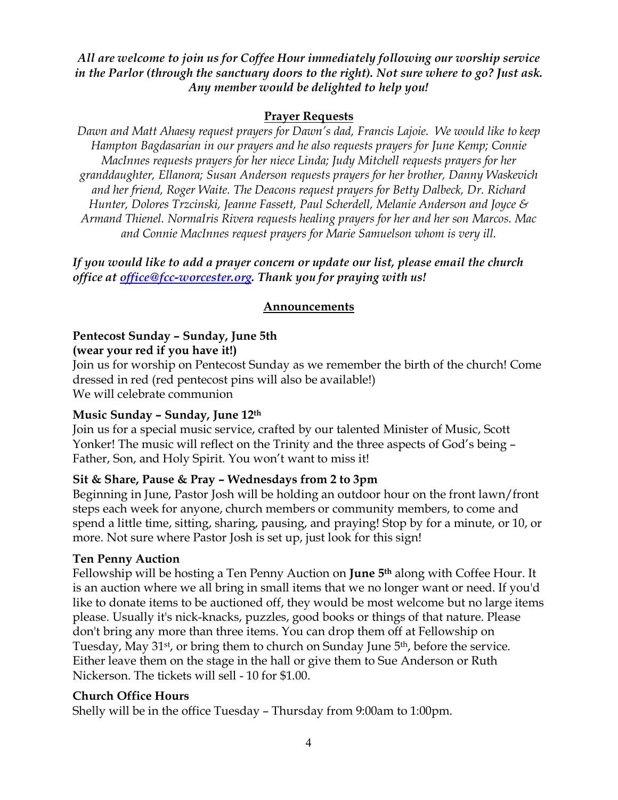#### *All are welcome to join us for Coffee Hour immediately following our worship service in the Parlor (through the sanctuary doors to the right). Not sure where to go? Just ask. Any member would be delighted to help you!*

#### **Prayer Requests**

*Dawn and Matt Ahaesy request prayers for Dawn's dad, Francis Lajoie. We would like to keep Hampton Bagdasarian in our prayers and he also requests prayers for June Kemp; Connie MacInnes requests prayers for her niece Linda; Judy Mitchell requests prayers for her granddaughter, Ellanora; Susan Anderson requests prayers for her brother, Danny Waskevich and her friend, Roger Waite. The Deacons request prayers for Betty Dalbeck, Dr. Richard Hunter, Dolores Trzcinski, Jeanne Fassett, Paul Scherdell, Melanie Anderson and Joyce & Armand Thienel. NormaIris Rivera requests healing prayers for her and her son Marcos. Mac and Connie MacInnes request prayers for Marie Samuelson whom is very ill.*

*If you would like to add a prayer concern or update our list, please email the church office at office@fcc-worcester.org. Thank you for praying with us!*

#### **Announcements**

### **Pentecost Sunday – Sunday, June 5th**

#### **(wear your red if you have it!)**

Join us for worship on Pentecost Sunday as we remember the birth of the church! Come dressed in red (red pentecost pins will also be available!) We will celebrate communion

#### **Music Sunday – Sunday, June 12th**

Join us for a special music service, crafted by our talented Minister of Music, Scott Yonker! The music will reflect on the Trinity and the three aspects of God's being – Father, Son, and Holy Spirit. You won't want to miss it!

#### **Sit & Share, Pause & Pray – Wednesdays from 2 to 3pm**

Beginning in June, Pastor Josh will be holding an outdoor hour on the front lawn/front steps each week for anyone, church members or community members, to come and spend a little time, sitting, sharing, pausing, and praying! Stop by for a minute, or 10, or more. Not sure where Pastor Josh is set up, just look for this sign!

#### **Ten Penny Auction**

Fellowship will be hosting a Ten Penny Auction on **June 5th** along with Coffee Hour. It is an auction where we all bring in small items that we no longer want or need. If you'd like to donate items to be auctioned off, they would be most welcome but no large items please. Usually it's nick-knacks, puzzles, good books or things of that nature. Please don't bring any more than three items. You can drop them off at Fellowship on Tuesday, May 31st, or bring them to church on Sunday June 5th, before the service. Either leave them on the stage in the hall or give them to Sue Anderson or Ruth Nickerson. The tickets will sell - 10 for \$1.00.

#### **Church Office Hours**

Shelly will be in the office Tuesday – Thursday from 9:00am to 1:00pm.